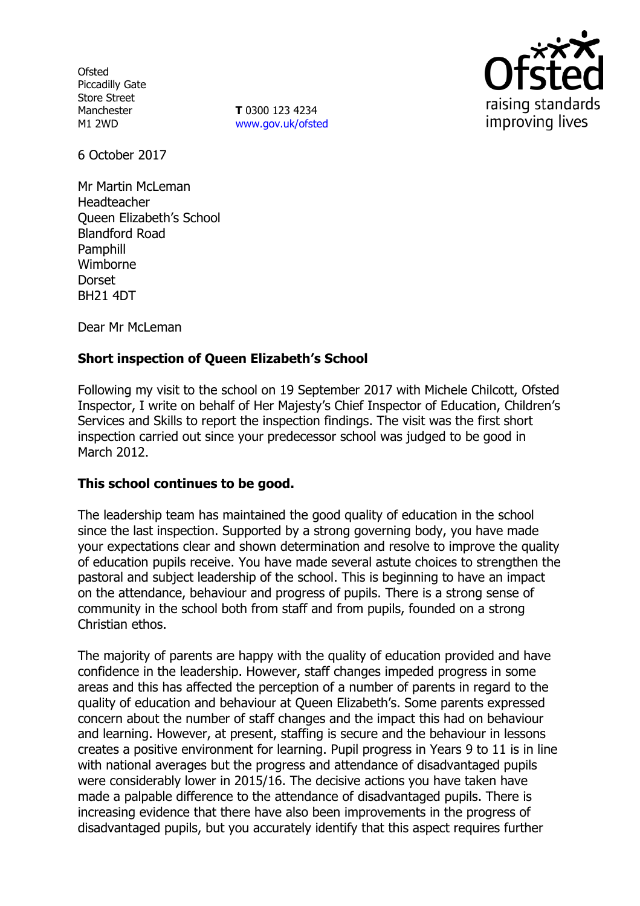**Ofsted** Piccadilly Gate Store Street Manchester M1 2WD

**T** 0300 123 4234 [www.gov.uk/ofsted](http://www.gov.uk/ofsted)



6 October 2017

Mr Martin McLeman Headteacher Queen Elizabeth's School Blandford Road Pamphill Wimborne Dorset BH21 4DT

Dear Mr McLeman

# **Short inspection of Queen Elizabeth's School**

Following my visit to the school on 19 September 2017 with Michele Chilcott, Ofsted Inspector, I write on behalf of Her Majesty's Chief Inspector of Education, Children's Services and Skills to report the inspection findings. The visit was the first short inspection carried out since your predecessor school was judged to be good in March 2012.

### **This school continues to be good.**

The leadership team has maintained the good quality of education in the school since the last inspection. Supported by a strong governing body, you have made your expectations clear and shown determination and resolve to improve the quality of education pupils receive. You have made several astute choices to strengthen the pastoral and subject leadership of the school. This is beginning to have an impact on the attendance, behaviour and progress of pupils. There is a strong sense of community in the school both from staff and from pupils, founded on a strong Christian ethos.

The majority of parents are happy with the quality of education provided and have confidence in the leadership. However, staff changes impeded progress in some areas and this has affected the perception of a number of parents in regard to the quality of education and behaviour at Queen Elizabeth's. Some parents expressed concern about the number of staff changes and the impact this had on behaviour and learning. However, at present, staffing is secure and the behaviour in lessons creates a positive environment for learning. Pupil progress in Years 9 to 11 is in line with national averages but the progress and attendance of disadvantaged pupils were considerably lower in 2015/16. The decisive actions you have taken have made a palpable difference to the attendance of disadvantaged pupils. There is increasing evidence that there have also been improvements in the progress of disadvantaged pupils, but you accurately identify that this aspect requires further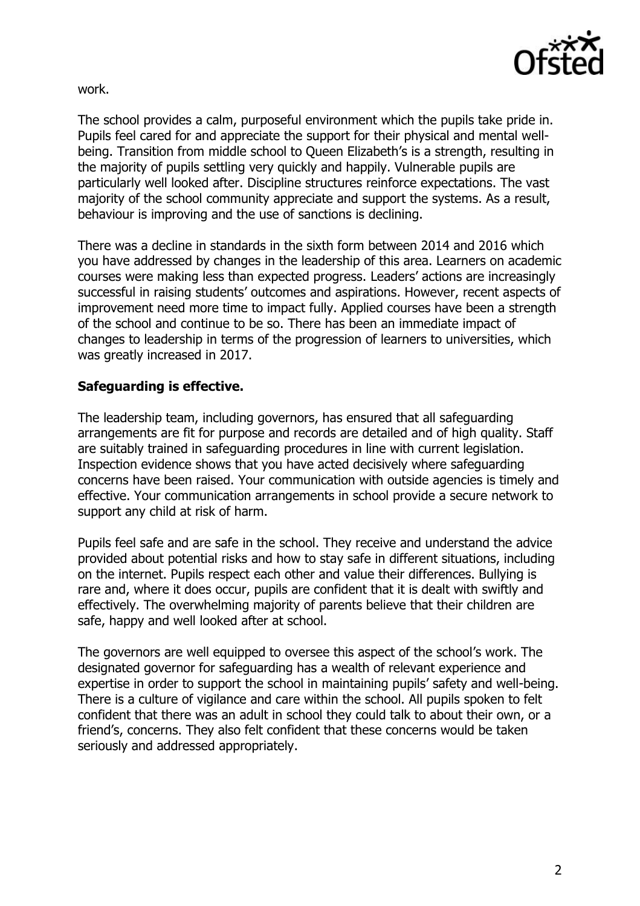

work.

The school provides a calm, purposeful environment which the pupils take pride in. Pupils feel cared for and appreciate the support for their physical and mental wellbeing. Transition from middle school to Queen Elizabeth's is a strength, resulting in the majority of pupils settling very quickly and happily. Vulnerable pupils are particularly well looked after. Discipline structures reinforce expectations. The vast majority of the school community appreciate and support the systems. As a result, behaviour is improving and the use of sanctions is declining.

There was a decline in standards in the sixth form between 2014 and 2016 which you have addressed by changes in the leadership of this area. Learners on academic courses were making less than expected progress. Leaders' actions are increasingly successful in raising students' outcomes and aspirations. However, recent aspects of improvement need more time to impact fully. Applied courses have been a strength of the school and continue to be so. There has been an immediate impact of changes to leadership in terms of the progression of learners to universities, which was greatly increased in 2017.

## **Safeguarding is effective.**

The leadership team, including governors, has ensured that all safeguarding arrangements are fit for purpose and records are detailed and of high quality. Staff are suitably trained in safeguarding procedures in line with current legislation. Inspection evidence shows that you have acted decisively where safeguarding concerns have been raised. Your communication with outside agencies is timely and effective. Your communication arrangements in school provide a secure network to support any child at risk of harm.

Pupils feel safe and are safe in the school. They receive and understand the advice provided about potential risks and how to stay safe in different situations, including on the internet. Pupils respect each other and value their differences. Bullying is rare and, where it does occur, pupils are confident that it is dealt with swiftly and effectively. The overwhelming majority of parents believe that their children are safe, happy and well looked after at school.

The governors are well equipped to oversee this aspect of the school's work. The designated governor for safeguarding has a wealth of relevant experience and expertise in order to support the school in maintaining pupils' safety and well-being. There is a culture of vigilance and care within the school. All pupils spoken to felt confident that there was an adult in school they could talk to about their own, or a friend's, concerns. They also felt confident that these concerns would be taken seriously and addressed appropriately.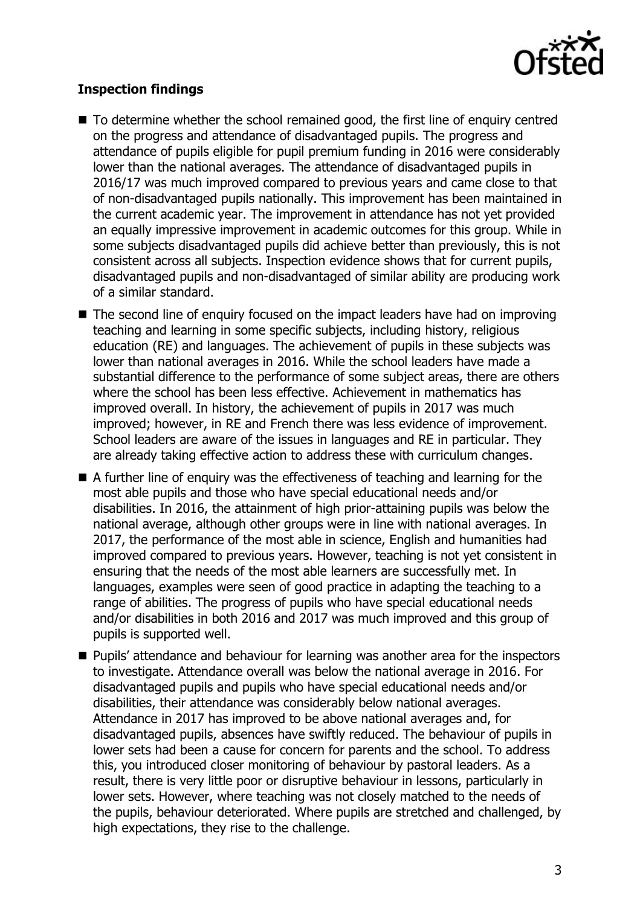

# **Inspection findings**

- To determine whether the school remained good, the first line of enquiry centred on the progress and attendance of disadvantaged pupils. The progress and attendance of pupils eligible for pupil premium funding in 2016 were considerably lower than the national averages. The attendance of disadvantaged pupils in 2016/17 was much improved compared to previous years and came close to that of non-disadvantaged pupils nationally. This improvement has been maintained in the current academic year. The improvement in attendance has not yet provided an equally impressive improvement in academic outcomes for this group. While in some subjects disadvantaged pupils did achieve better than previously, this is not consistent across all subjects. Inspection evidence shows that for current pupils, disadvantaged pupils and non-disadvantaged of similar ability are producing work of a similar standard.
- The second line of enguiry focused on the impact leaders have had on improving teaching and learning in some specific subjects, including history, religious education (RE) and languages. The achievement of pupils in these subjects was lower than national averages in 2016. While the school leaders have made a substantial difference to the performance of some subject areas, there are others where the school has been less effective. Achievement in mathematics has improved overall. In history, the achievement of pupils in 2017 was much improved; however, in RE and French there was less evidence of improvement. School leaders are aware of the issues in languages and RE in particular. They are already taking effective action to address these with curriculum changes.
- A further line of enquiry was the effectiveness of teaching and learning for the most able pupils and those who have special educational needs and/or disabilities. In 2016, the attainment of high prior-attaining pupils was below the national average, although other groups were in line with national averages. In 2017, the performance of the most able in science, English and humanities had improved compared to previous years. However, teaching is not yet consistent in ensuring that the needs of the most able learners are successfully met. In languages, examples were seen of good practice in adapting the teaching to a range of abilities. The progress of pupils who have special educational needs and/or disabilities in both 2016 and 2017 was much improved and this group of pupils is supported well.
- **Pupils'** attendance and behaviour for learning was another area for the inspectors to investigate. Attendance overall was below the national average in 2016. For disadvantaged pupils and pupils who have special educational needs and/or disabilities, their attendance was considerably below national averages. Attendance in 2017 has improved to be above national averages and, for disadvantaged pupils, absences have swiftly reduced. The behaviour of pupils in lower sets had been a cause for concern for parents and the school. To address this, you introduced closer monitoring of behaviour by pastoral leaders. As a result, there is very little poor or disruptive behaviour in lessons, particularly in lower sets. However, where teaching was not closely matched to the needs of the pupils, behaviour deteriorated. Where pupils are stretched and challenged, by high expectations, they rise to the challenge.